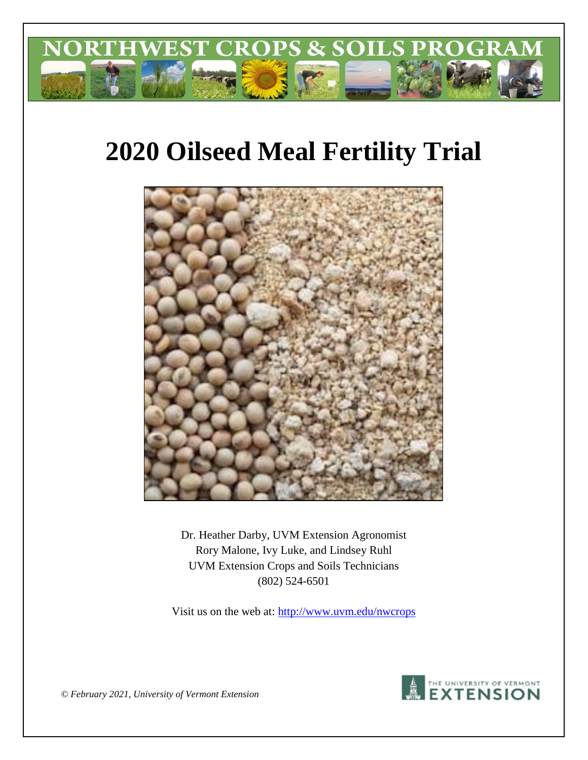

# **2020 Oilseed Meal Fertility Trial**



Dr. Heather Darby, UVM Extension Agronomist Rory Malone, Ivy Luke, and Lindsey Ruhl UVM Extension Crops and Soils Technicians (802) 524-6501

Visit us on the web at:<http://www.uvm.edu/nwcrops>



*© February 2021, University of Vermont Extension*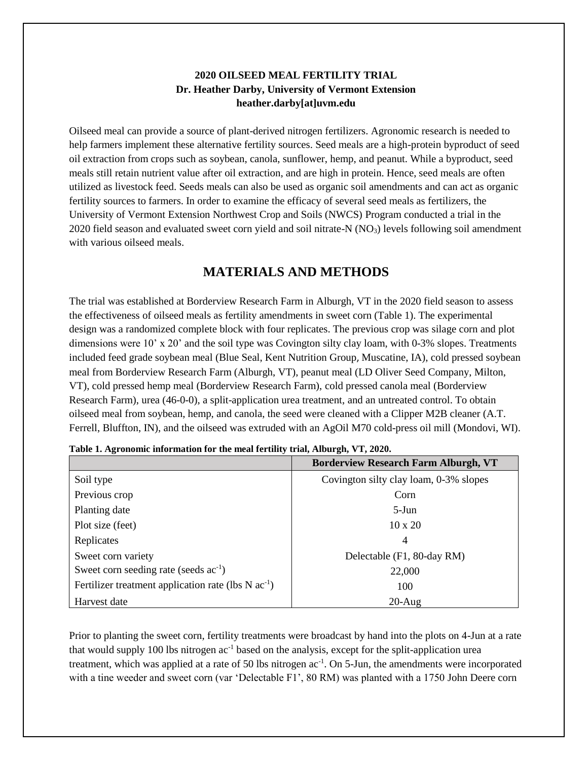#### **2020 OILSEED MEAL FERTILITY TRIAL Dr. Heather Darby, University of Vermont Extension heather.darby[at]uvm.edu**

Oilseed meal can provide a source of plant-derived nitrogen fertilizers. Agronomic research is needed to help farmers implement these alternative fertility sources. Seed meals are a high-protein byproduct of seed oil extraction from crops such as soybean, canola, sunflower, hemp, and peanut. While a byproduct, seed meals still retain nutrient value after oil extraction, and are high in protein. Hence, seed meals are often utilized as livestock feed. Seeds meals can also be used as organic soil amendments and can act as organic fertility sources to farmers. In order to examine the efficacy of several seed meals as fertilizers, the University of Vermont Extension Northwest Crop and Soils (NWCS) Program conducted a trial in the 2020 field season and evaluated sweet corn yield and soil nitrate-N  $(NO<sub>3</sub>)$  levels following soil amendment with various oilseed meals.

## **MATERIALS AND METHODS**

The trial was established at Borderview Research Farm in Alburgh, VT in the 2020 field season to assess the effectiveness of oilseed meals as fertility amendments in sweet corn (Table 1). The experimental design was a randomized complete block with four replicates. The previous crop was silage corn and plot dimensions were 10' x 20' and the soil type was Covington silty clay loam, with 0-3% slopes. Treatments included feed grade soybean meal (Blue Seal, Kent Nutrition Group, Muscatine, IA), cold pressed soybean meal from Borderview Research Farm (Alburgh, VT), peanut meal (LD Oliver Seed Company, Milton, VT), cold pressed hemp meal (Borderview Research Farm), cold pressed canola meal (Borderview Research Farm), urea (46-0-0), a split-application urea treatment, and an untreated control. To obtain oilseed meal from soybean, hemp, and canola, the seed were cleaned with a Clipper M2B cleaner (A.T. Ferrell, Bluffton, IN), and the oilseed was extruded with an AgOil M70 cold-press oil mill (Mondovi, WI).

|                                                                   | <b>Borderview Research Farm Alburgh, VT</b> |
|-------------------------------------------------------------------|---------------------------------------------|
| Soil type                                                         | Covington silty clay loam, 0-3% slopes      |
| Previous crop                                                     | Corn                                        |
| Planting date                                                     | $5-J$ un                                    |
| Plot size (feet)                                                  | $10 \times 20$                              |
| Replicates                                                        | 4                                           |
| Sweet corn variety                                                | Delectable (F1, 80-day RM)                  |
| Sweet corn seeding rate (seeds $ac^{-1}$ )                        | 22,000                                      |
| Fertilizer treatment application rate (lbs $N$ ac <sup>-1</sup> ) | 100                                         |
| Harvest date                                                      | $20-Aug$                                    |

| Table 1. Agronomic information for the meal fertility trial, Alburgh, VT, 2020. |  |  |  |
|---------------------------------------------------------------------------------|--|--|--|

Prior to planting the sweet corn, fertility treatments were broadcast by hand into the plots on 4-Jun at a rate that would supply 100 lbs nitrogen ac-1 based on the analysis, except for the split-application urea treatment, which was applied at a rate of 50 lbs nitrogen ac<sup>-1</sup>. On 5-Jun, the amendments were incorporated with a tine weeder and sweet corn (var 'Delectable F1', 80 RM) was planted with a 1750 John Deere corn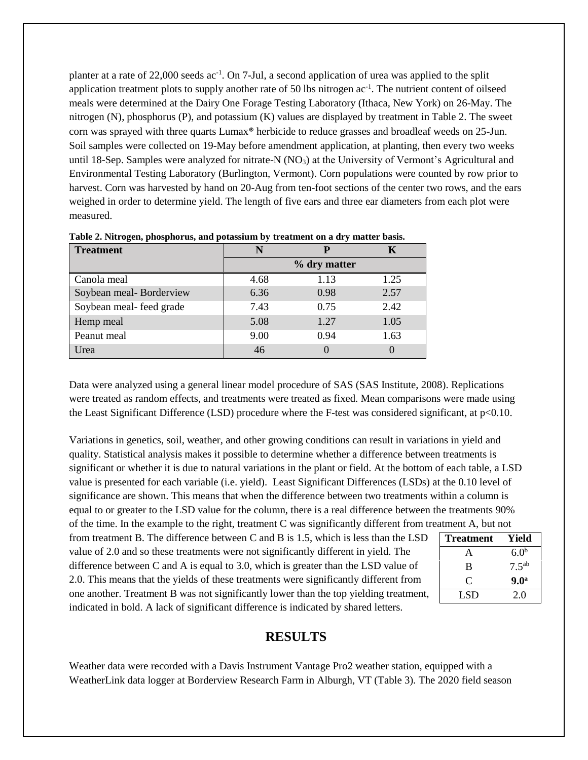planter at a rate of 22,000 seeds ac<sup>-1</sup>. On 7-Jul, a second application of urea was applied to the split application treatment plots to supply another rate of 50 lbs nitrogen ac<sup>-1</sup>. The nutrient content of oilseed meals were determined at the Dairy One Forage Testing Laboratory (Ithaca, New York) on 26-May. The nitrogen (N), phosphorus (P), and potassium (K) values are displayed by treatment in Table 2. The sweet corn was sprayed with three quarts Lumax® herbicide to reduce grasses and broadleaf weeds on 25-Jun. Soil samples were collected on 19-May before amendment application, at planting, then every two weeks until 18-Sep. Samples were analyzed for nitrate-N  $(NO<sub>3</sub>)$  at the University of Vermont's Agricultural and Environmental Testing Laboratory (Burlington, Vermont). Corn populations were counted by row prior to harvest. Corn was harvested by hand on 20-Aug from ten-foot sections of the center two rows, and the ears weighed in order to determine yield. The length of five ears and three ear diameters from each plot were measured.

| <b>Treatment</b>        |      | p            |      |
|-------------------------|------|--------------|------|
|                         |      | % dry matter |      |
| Canola meal             | 4.68 | 1.13         | 1.25 |
| Soybean meal-Borderview | 6.36 | 0.98         | 2.57 |
| Soybean meal-feed grade | 7.43 | 0.75         | 2.42 |
| Hemp meal               | 5.08 | 1.27         | 1.05 |
| Peanut meal             | 9.00 | 0.94         | 1.63 |
| Urea                    | 46   |              |      |

**Table 2. Nitrogen, phosphorus, and potassium by treatment on a dry matter basis.** 

Data were analyzed using a general linear model procedure of SAS (SAS Institute, 2008). Replications were treated as random effects, and treatments were treated as fixed. Mean comparisons were made using the Least Significant Difference (LSD) procedure where the F-test was considered significant, at p<0.10.

Variations in genetics, soil, weather, and other growing conditions can result in variations in yield and quality. Statistical analysis makes it possible to determine whether a difference between treatments is significant or whether it is due to natural variations in the plant or field. At the bottom of each table, a LSD value is presented for each variable (i.e. yield). Least Significant Differences (LSDs) at the 0.10 level of significance are shown. This means that when the difference between two treatments within a column is equal to or greater to the LSD value for the column, there is a real difference between the treatments 90% of the time. In the example to the right, treatment C was significantly different from treatment A, but not

from treatment B. The difference between C and B is 1.5, which is less than the LSD value of 2.0 and so these treatments were not significantly different in yield. The difference between C and A is equal to 3.0, which is greater than the LSD value of 2.0. This means that the yields of these treatments were significantly different from one another. Treatment B was not significantly lower than the top yielding treatment, indicated in bold. A lack of significant difference is indicated by shared letters.

| <b>Treatment</b> | Yield            |  |  |  |  |  |
|------------------|------------------|--|--|--|--|--|
| A                | 6.0 <sup>b</sup> |  |  |  |  |  |
| B                | $7.5^{ab}$       |  |  |  |  |  |
| C                | 9.0 <sup>a</sup> |  |  |  |  |  |
| LSD              | 2.0              |  |  |  |  |  |

## **RESULTS**

Weather data were recorded with a Davis Instrument Vantage Pro2 weather station, equipped with a WeatherLink data logger at Borderview Research Farm in Alburgh, VT (Table 3). The 2020 field season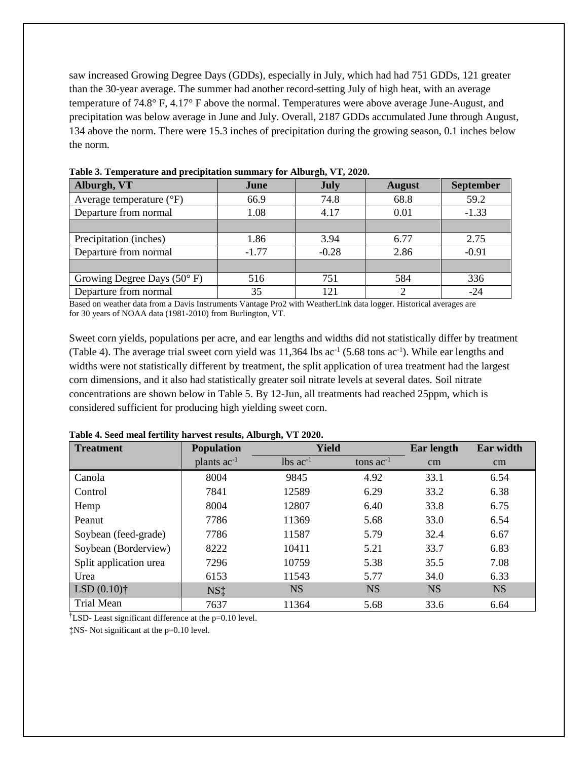saw increased Growing Degree Days (GDDs), especially in July, which had had 751 GDDs, 121 greater than the 30-year average. The summer had another record-setting July of high heat, with an average temperature of 74.8° F, 4.17° F above the normal. Temperatures were above average June-August, and precipitation was below average in June and July. Overall, 2187 GDDs accumulated June through August, 134 above the norm. There were 15.3 inches of precipitation during the growing season, 0.1 inches below the norm.

| Alburgh, VT                                  | June    | <b>July</b> | <b>August</b> | <b>September</b> |
|----------------------------------------------|---------|-------------|---------------|------------------|
| Average temperature $(^{\circ}F)$            | 66.9    | 74.8        | 68.8          | 59.2             |
| Departure from normal                        | 1.08    | 4.17        | 0.01          | $-1.33$          |
|                                              |         |             |               |                  |
| Precipitation (inches)                       | 1.86    | 3.94        | 6.77          | 2.75             |
| Departure from normal                        | $-1.77$ | $-0.28$     | 2.86          | $-0.91$          |
|                                              |         |             |               |                  |
| Growing Degree Days $(50^{\circ} \text{ F})$ | 516     | 751         | 584           | 336              |
| Departure from normal                        | 35      | 121         |               | $-24$            |

**Table 3. Temperature and precipitation summary for Alburgh, VT, 2020.**

Based on weather data from a Davis Instruments Vantage Pro2 with WeatherLink data logger. Historical averages are for 30 years of NOAA data (1981-2010) from Burlington, VT.

Sweet corn yields, populations per acre, and ear lengths and widths did not statistically differ by treatment (Table 4). The average trial sweet corn yield was  $11,364$  lbs ac<sup>-1</sup> (5.68 tons ac<sup>-1</sup>). While ear lengths and widths were not statistically different by treatment, the split application of urea treatment had the largest corn dimensions, and it also had statistically greater soil nitrate levels at several dates. Soil nitrate concentrations are shown below in Table 5. By 12-Jun, all treatments had reached 25ppm, which is considered sufficient for producing high yielding sweet corn.

| <b>Treatment</b>       | <b>Population</b> | <b>Yield</b>           |                | Ear length | Ear width |
|------------------------|-------------------|------------------------|----------------|------------|-----------|
|                        | plants $ac^{-1}$  | $lbs$ ac <sup>-1</sup> | tons $ac^{-1}$ | cm         | $\rm cm$  |
| Canola                 | 8004              | 9845                   | 4.92           | 33.1       | 6.54      |
| Control                | 7841              | 12589                  | 6.29           | 33.2       | 6.38      |
| Hemp                   | 8004              | 12807                  | 6.40           | 33.8       | 6.75      |
| Peanut                 | 7786              | 11369                  | 5.68           | 33.0       | 6.54      |
| Soybean (feed-grade)   | 7786              | 11587                  | 5.79           | 32.4       | 6.67      |
| Soybean (Borderview)   | 8222              | 10411                  | 5.21           | 33.7       | 6.83      |
| Split application urea | 7296              | 10759                  | 5.38           | 35.5       | 7.08      |
| Urea                   | 6153              | 11543                  | 5.77           | 34.0       | 6.33      |
| LSD $(0.10)$ †         | NS <sup>t</sup>   | <b>NS</b>              | <b>NS</b>      | <b>NS</b>  | <b>NS</b> |
| <b>Trial Mean</b>      | 7637              | 11364                  | 5.68           | 33.6       | 6.64      |

**Table 4. Seed meal fertility harvest results, Alburgh, VT 2020.** 

 $\textsuperscript{\textit{t}}$  LSD- Least significant difference at the p=0.10 level.

‡NS- Not significant at the p=0.10 level.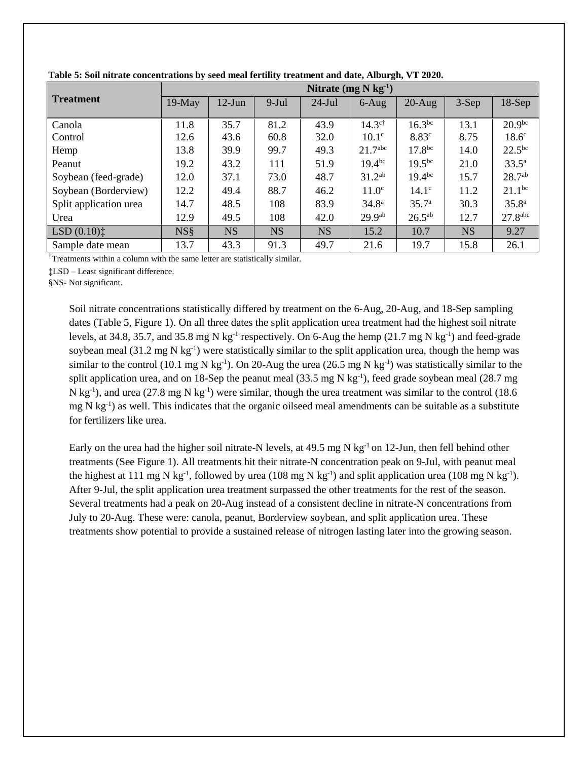|                                             | Nitrate (mg $N$ kg <sup>-1</sup> ) |           |           |           |                      |                    |           |                       |
|---------------------------------------------|------------------------------------|-----------|-----------|-----------|----------------------|--------------------|-----------|-----------------------|
| <b>Treatment</b>                            | $19$ -May                          | $12-Jun$  | $9-Jul$   | $24$ -Jul | $6-Aug$              | $20$ -Aug          | $3-Sep$   | $18-Sep$              |
| Canola                                      | 11.8                               | 35.7      | 81.2      | 43.9      | $14.3$ <sup>ct</sup> | $16.3^{bc}$        | 13.1      | 20.9 <sup>bc</sup>    |
| Control                                     | 12.6                               | 43.6      | 60.8      | 32.0      | 10.1 <sup>c</sup>    | 8.83c              | 8.75      | 18.6 <sup>c</sup>     |
| Hemp                                        | 13.8                               | 39.9      | 99.7      | 49.3      | 21.7 <sup>abc</sup>  | 17.8 <sup>bc</sup> | 14.0      | $22.5^{bc}$           |
| Peanut                                      | 19.2                               | 43.2      | 111       | 51.9      | $19.4^{bc}$          | $19.5^{bc}$        | 21.0      | $33.5^{\circ}$        |
| Soybean (feed-grade)                        | 12.0                               | 37.1      | 73.0      | 48.7      | $31.2^{ab}$          | $19.4^{bc}$        | 15.7      | $28.7^{ab}$           |
| Soybean (Borderview)                        | 12.2                               | 49.4      | 88.7      | 46.2      | 11.0 <sup>c</sup>    | $14.1^\circ$       | 11.2      | $21.1^{bc}$           |
| Split application urea                      | 14.7                               | 48.5      | 108       | 83.9      | 34.8 <sup>a</sup>    | 35.7 <sup>a</sup>  | 30.3      | $35.8^{a}$            |
| Urea                                        | 12.9                               | 49.5      | 108       | 42.0      | 29.9 <sup>ab</sup>   | $26.5^{ab}$        | 12.7      | $27.8$ <sup>abc</sup> |
| $LSD(0.10)$ <sup><math>\dagger</math></sup> | <b>NS</b> §                        | <b>NS</b> | <b>NS</b> | <b>NS</b> | 15.2                 | 10.7               | <b>NS</b> | 9.27                  |
| Sample date mean                            | 13.7                               | 43.3      | 91.3      | 49.7      | 21.6                 | 19.7               | 15.8      | 26.1                  |

**Table 5: Soil nitrate concentrations by seed meal fertility treatment and date, Alburgh, VT 2020.** 

<sup>†</sup>Treatments within a column with the same letter are statistically similar.

‡LSD – Least significant difference.

§NS- Not significant.

Soil nitrate concentrations statistically differed by treatment on the 6-Aug, 20-Aug, and 18-Sep sampling dates (Table 5, Figure 1). On all three dates the split application urea treatment had the highest soil nitrate levels, at 34.8, 35.7, and 35.8 mg N kg<sup>-1</sup> respectively. On 6-Aug the hemp  $(21.7 \text{ mg N kg}^{-1})$  and feed-grade soybean meal  $(31.2 \text{ mg N kg}^{-1})$  were statistically similar to the split application urea, though the hemp was similar to the control (10.1 mg N kg<sup>-1</sup>). On 20-Aug the urea (26.5 mg N kg<sup>-1</sup>) was statistically similar to the split application urea, and on 18-Sep the peanut meal  $(33.5 \text{ mg N kg}^{-1})$ , feed grade soybean meal  $(28.7 \text{ mg})$ N kg<sup>-1</sup>), and urea (27.8 mg N kg<sup>-1</sup>) were similar, though the urea treatment was similar to the control (18.6 mg N kg<sup>-1</sup>) as well. This indicates that the organic oilseed meal amendments can be suitable as a substitute for fertilizers like urea.

Early on the urea had the higher soil nitrate-N levels, at 49.5 mg N kg<sup>-1</sup> on 12-Jun, then fell behind other treatments (See Figure 1). All treatments hit their nitrate-N concentration peak on 9-Jul, with peanut meal the highest at 111 mg N kg<sup>-1</sup>, followed by urea (108 mg N kg<sup>-1</sup>) and split application urea (108 mg N kg<sup>-1</sup>). After 9-Jul, the split application urea treatment surpassed the other treatments for the rest of the season. Several treatments had a peak on 20-Aug instead of a consistent decline in nitrate-N concentrations from July to 20-Aug. These were: canola, peanut, Borderview soybean, and split application urea. These treatments show potential to provide a sustained release of nitrogen lasting later into the growing season.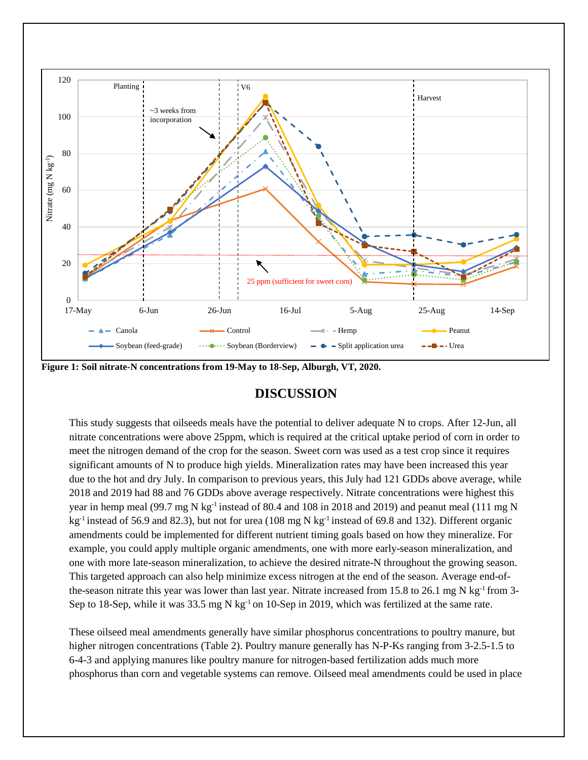

**Figure 1: Soil nitrate-N concentrations from 19-May to 18-Sep, Alburgh, VT, 2020.** 

### **DISCUSSION**

This study suggests that oilseeds meals have the potential to deliver adequate N to crops. After 12-Jun, all nitrate concentrations were above 25ppm, which is required at the critical uptake period of corn in order to meet the nitrogen demand of the crop for the season. Sweet corn was used as a test crop since it requires significant amounts of N to produce high yields. Mineralization rates may have been increased this year due to the hot and dry July. In comparison to previous years, this July had 121 GDDs above average, while 2018 and 2019 had 88 and 76 GDDs above average respectively. Nitrate concentrations were highest this year in hemp meal (99.7 mg N kg<sup>-1</sup> instead of 80.4 and 108 in 2018 and 2019) and peanut meal (111 mg N kg<sup>-1</sup> instead of 56.9 and 82.3), but not for urea (108 mg N kg<sup>-1</sup> instead of 69.8 and 132). Different organic amendments could be implemented for different nutrient timing goals based on how they mineralize. For example, you could apply multiple organic amendments, one with more early-season mineralization, and one with more late-season mineralization, to achieve the desired nitrate-N throughout the growing season. This targeted approach can also help minimize excess nitrogen at the end of the season. Average end-ofthe-season nitrate this year was lower than last year. Nitrate increased from 15.8 to 26.1 mg N kg<sup>-1</sup> from 3-Sep to 18-Sep, while it was 33.5 mg N kg<sup>-1</sup> on 10-Sep in 2019, which was fertilized at the same rate.

These oilseed meal amendments generally have similar phosphorus concentrations to poultry manure, but higher nitrogen concentrations (Table 2). Poultry manure generally has N-P-Ks ranging from 3-2.5-1.5 to 6-4-3 and applying manures like poultry manure for nitrogen-based fertilization adds much more phosphorus than corn and vegetable systems can remove. Oilseed meal amendments could be used in place